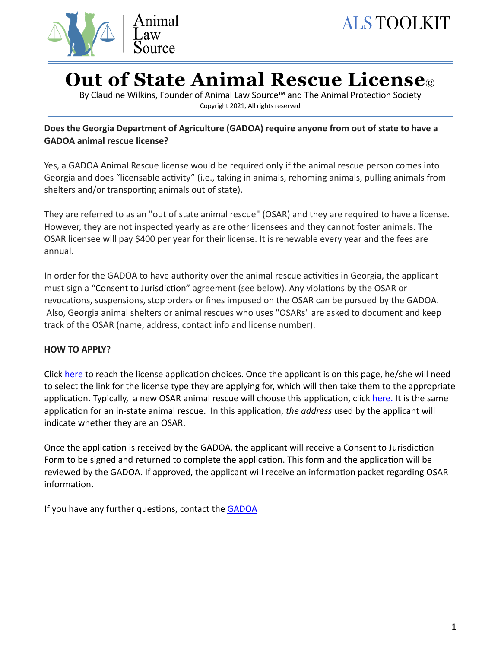

# **Out of State Animal Rescue License©**

By Claudine Wilkins, Founder of Animal Law Source™ and The Animal Protection Society Copyright 2021, All rights reserved

## **Does the Georgia Department of Agriculture (GADOA) require anyone from out of state to have a GADOA animal rescue license?**

Yes, a GADOA Animal Rescue license would be required only if the animal rescue person comes into Georgia and does "licensable activity" (i.e., taking in animals, rehoming animals, pulling animals from shelters and/or transporting animals out of state).

They are referred to as an "out of state animal rescue" (OSAR) and they are required to have a license. However, they are not inspected yearly as are other licensees and they cannot foster animals. The OSAR licensee will pay \$400 per year for their license. It is renewable every year and the fees are annual.

In order for the GADOA to have authority over the animal rescue activities in Georgia, the applicant must sign a "Consent to Jurisdiction" agreement (see below). Any violations by the OSAR or revocations, suspensions, stop orders or fines imposed on the OSAR can be pursued by the GADOA. Also, Georgia animal shelters or animal rescues who uses "OSARs" are asked to document and keep track of the OSAR (name, address, contact info and license number).

### **HOW TO APPLY?**

Click [here](http://www.kellysolutions.com/GA/index.asp) to reach the license application choices. Once the applicant is on this page, he/she will need to select the link for the license type they are applying for, which will then take them to the appropriate application. Typically, a new OSAR animal rescue will choose this application, click [here.](http://www.kellysolutions.com/GA/animalshelters/NewApplication/Applynow.asp) It is the same application for an in-state animal rescue. In this application, *the address* used by the applicant will indicate whether they are an OSAR.

Once the application is received by the GADOA, the applicant will receive a Consent to Jurisdiction Form to be signed and returned to complete the application. This form and the application will be reviewed by the GADOA. If approved, the applicant will receive an information packet regarding OSAR information.

If you have any further questions, contact the GADOA